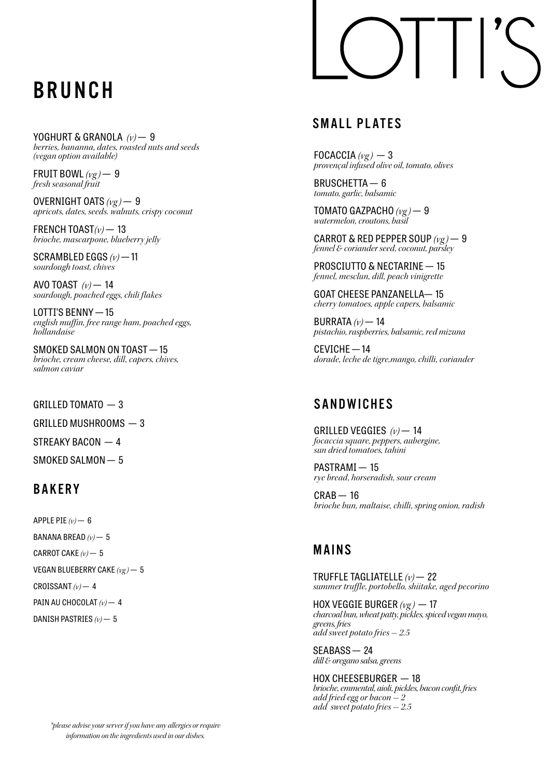### BRUNCH

YOGHURT & GRANOLA *(v)* — 9 *berries, bananna, dates, roasted nuts and seeds (vegan option available)*

FRUIT BOWL  $(\nu e)$  – 9 *fresh seasonal fruit*

OVERNIGHT OATS *(vg )* — 9 *apricots, dates, seeds. walnuts, crispy coconut*

FRENCH TOAST*(v)* — 13 *brioche, mascarpone, blueberry jelly*

SCRAMBLED EGGS *(v)* — 11 *sourdough toast, chives*

AVO TOAST *(v)* — 14 *sourdough, poached eggs, chili flakes*

LOTTI'S BENNY — 15 *english muffin, free range ham, poached eggs, hollandaise*

SMOKED SALMON ON TOAST — 15 *brioche, cream cheese, dill, capers, chives, salmon caviar*

GRILLED TOMATO — 3

GRILLED MUSHROOMS — 3

STREAKY BACON — 4

SMOKED SALMON — 5

### **BAKERY**

APPLE PIE  $(v)$   $-$  6

BANANA BREAD *(v)* — 5

CARROT CAKE *(v)* — 5

VEGAN BLUEBERRY CAKE *(vg )* — 5

CROISSANT *(v)* — 4

PAIN AU CHOCOLAT  $(v)$  - 4

DANISH PASTRIES *(v)* — 5

# $\vert \ \vert$

### SMALL PLATES

FOCACCIA  $(\nu g)$  - 3 *provençal infused olive oil, tomato, olives*

BRUSCHETTA — 6 *tomato, garlic, balsamic*

TOMATO GAZPACHO  $(\nu g)$  - 9 *watermelon, croutons, basil*

CARROT & RED PEPPER SOUP *(vg )* — 9 *fennel & coriander seed, coconut, parsley*

PROSCIUTTO & NECTARINE — 15 *fennel, mesclun, dill, peach vinigrette*

GOAT CHEESE PANZANELLA— 15 *cherry tomatoes, apple capers, balsamic*

BURRATA *(v)* — 14 *pistachio, raspberries, balsamic, red mizuna*

CEVICHE — 14 *dorade, leche de tigre,mango, chilli, coriander*

### **SANDWICHES**

GRILLED VEGGIES  $(\nu)$  - 14 *focaccia square, peppers, aubergine, sun dried tomatoes, tahini*

PASTRAMI - 15 *rye bread, horseradish, sour cream*

 $CRAB - 16$ *brioche bun, maltaise, chilli, spring onion, radish*

### MAINS

TRUFFLE TAGLIATELLE *(v)* — 22 *summer truffle, portobello, shiitake, aged pecorino*

HOX VEGGIE BURGER *(vg )* — 17 *charcoal bun, wheat patty, pickles, spiced vegan mayo, greens, fries add sweet potato fries - 2.5*

SEABASS — 24 *dill & oregano salsa, greens*

HOX CHEESEBURGER — 18 *brioche, emmental, aioli, pickles, bacon confit, fries add fried egg or bacon - 2 add sweet potato fries - 2.5*

*\*please advise your server if you have any allergies or require information on the ingredients used in our dishes.*